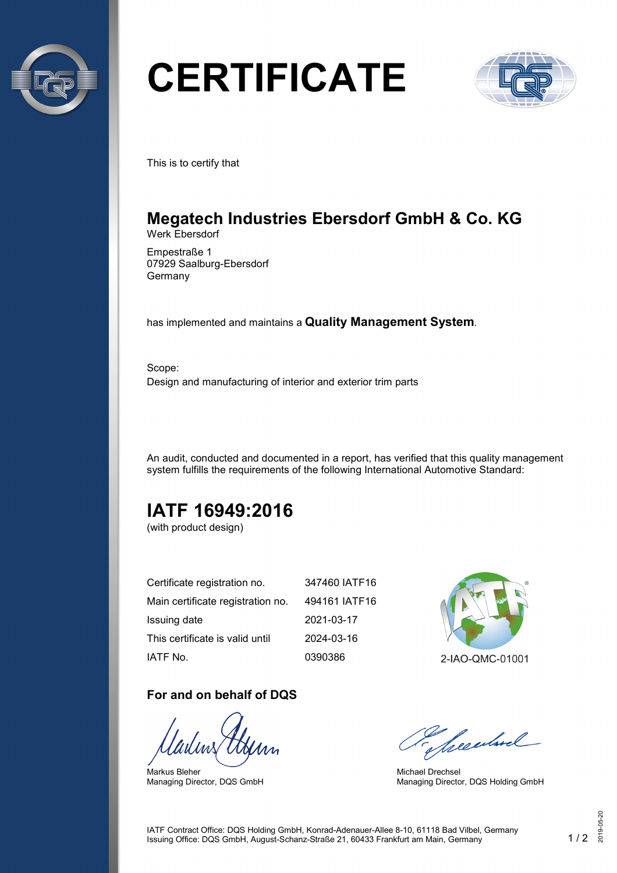

# **CERTIFICATE**



This is to certify that

## **Megatech Industries Ebersdorf GmbH & Co. KG** Werk Ebersdorf

Empestraße 1 07929 Saalburg-Ebersdorf Germany

has implemented and maintains a **Quality Management System**.

Scope: Design and manufacturing of interior and exterior trim parts

An audit, conducted and documented in a report, has verified that this quality management system fulfills the requirements of the following International Automotive Standard:

# **IATF 16949:2016**

(with product design)

| Certificate registration no.      | 347460 IATF16 |
|-----------------------------------|---------------|
| Main certificate registration no. | 494161 IATF16 |
| Issuing date                      | 2021-03-17    |
| This certificate is valid until   | 2024-03-16    |
| IATF No.                          | 0390386       |

### **For and on behalf of DQS**

Markus Bleher Managing Director, DQS GmbH



Seculard

Michael Drechsel Managing Director, DQS Holding GmbH

IATF Contract Office: DQS Holding GmbH, Konrad-Adenauer-Allee 8-10, 61118 Bad Vilbel, Germany Issuing Office: DQS GmbH, August-Schanz-Straße 21, 60433 Frankfurt am Main, Germany 1 / 2